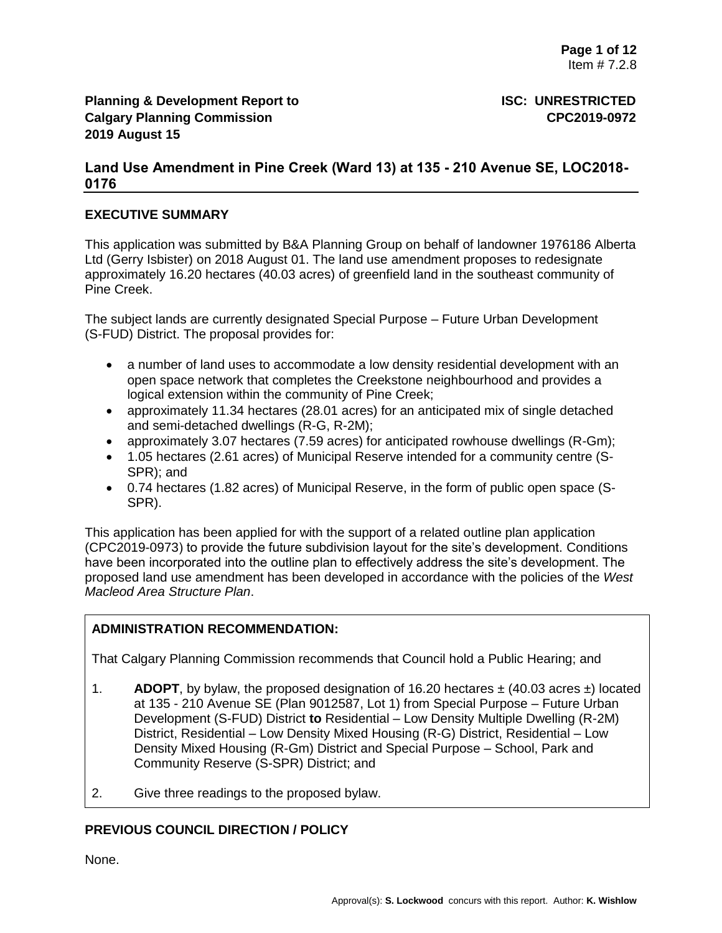# **Land Use Amendment in Pine Creek (Ward 13) at 135 - 210 Avenue SE, LOC2018- 0176**

## **EXECUTIVE SUMMARY**

This application was submitted by B&A Planning Group on behalf of landowner 1976186 Alberta Ltd (Gerry Isbister) on 2018 August 01. The land use amendment proposes to redesignate approximately 16.20 hectares (40.03 acres) of greenfield land in the southeast community of Pine Creek.

The subject lands are currently designated Special Purpose – Future Urban Development (S-FUD) District. The proposal provides for:

- a number of land uses to accommodate a low density residential development with an open space network that completes the Creekstone neighbourhood and provides a logical extension within the community of Pine Creek;
- approximately 11.34 hectares (28.01 acres) for an anticipated mix of single detached and semi-detached dwellings (R-G, R-2M);
- approximately 3.07 hectares (7.59 acres) for anticipated rowhouse dwellings (R-Gm);
- 1.05 hectares (2.61 acres) of Municipal Reserve intended for a community centre (S-SPR); and
- 0.74 hectares (1.82 acres) of Municipal Reserve, in the form of public open space (S-SPR).

This application has been applied for with the support of a related outline plan application (CPC2019-0973) to provide the future subdivision layout for the site's development. Conditions have been incorporated into the outline plan to effectively address the site's development. The proposed land use amendment has been developed in accordance with the policies of the *West Macleod Area Structure Plan*.

## **ADMINISTRATION RECOMMENDATION:**

That Calgary Planning Commission recommends that Council hold a Public Hearing; and

- 1. **ADOPT**, by bylaw, the proposed designation of 16.20 hectares  $\pm$  (40.03 acres  $\pm$ ) located at 135 - 210 Avenue SE (Plan 9012587, Lot 1) from Special Purpose – Future Urban Development (S-FUD) District **to** Residential – Low Density Multiple Dwelling (R-2M) District, Residential – Low Density Mixed Housing (R-G) District, Residential – Low Density Mixed Housing (R-Gm) District and Special Purpose – School, Park and Community Reserve (S-SPR) District; and
- 2. Give three readings to the proposed bylaw.

## **PREVIOUS COUNCIL DIRECTION / POLICY**

None.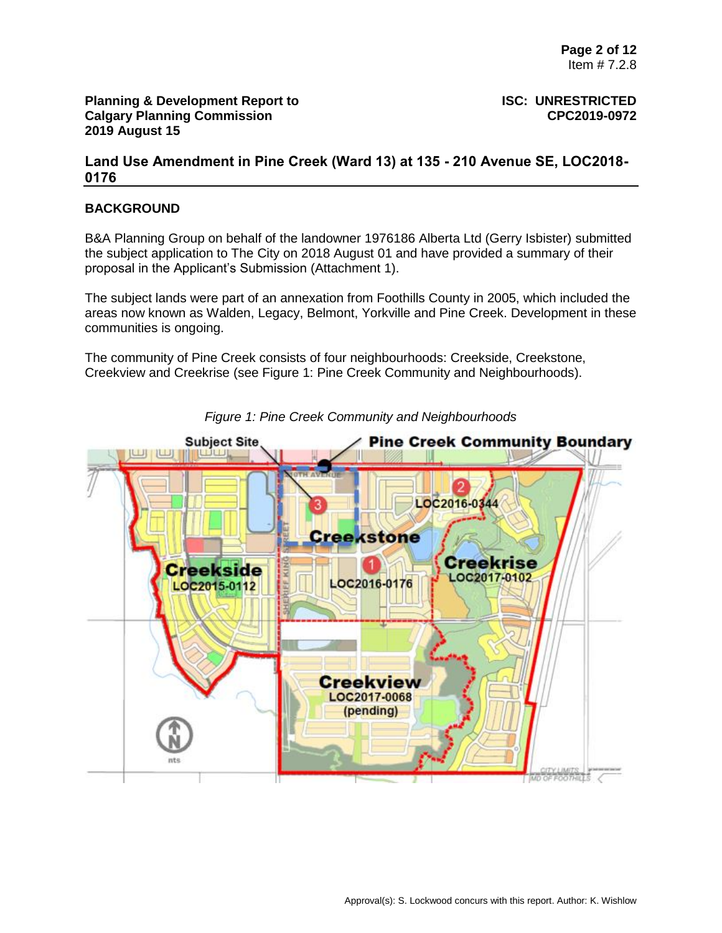**Land Use Amendment in Pine Creek (Ward 13) at 135 - 210 Avenue SE, LOC2018- 0176**

#### **BACKGROUND**

B&A Planning Group on behalf of the landowner 1976186 Alberta Ltd (Gerry Isbister) submitted the subject application to The City on 2018 August 01 and have provided a summary of their proposal in the Applicant's Submission (Attachment 1).

The subject lands were part of an annexation from Foothills County in 2005, which included the areas now known as Walden, Legacy, Belmont, Yorkville and Pine Creek. Development in these communities is ongoing.

The community of Pine Creek consists of four neighbourhoods: Creekside, Creekstone, Creekview and Creekrise (see Figure 1: Pine Creek Community and Neighbourhoods).



*Figure 1: Pine Creek Community and Neighbourhoods*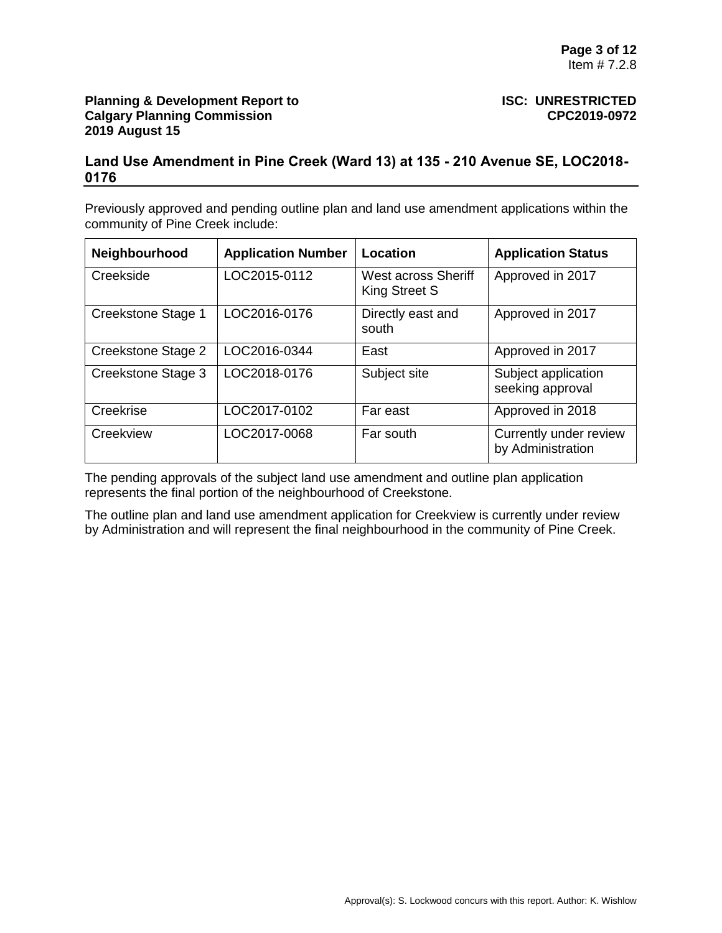## **Land Use Amendment in Pine Creek (Ward 13) at 135 - 210 Avenue SE, LOC2018- 0176**

Previously approved and pending outline plan and land use amendment applications within the community of Pine Creek include:

| Neighbourhood      | <b>Application Number</b> | Location                             | <b>Application Status</b>                   |
|--------------------|---------------------------|--------------------------------------|---------------------------------------------|
| Creekside          | LOC2015-0112              | West across Sheriff<br>King Street S | Approved in 2017                            |
| Creekstone Stage 1 | LOC2016-0176              | Directly east and<br>south           | Approved in 2017                            |
| Creekstone Stage 2 | LOC2016-0344              | East                                 | Approved in 2017                            |
| Creekstone Stage 3 | LOC2018-0176              | Subject site                         | Subject application<br>seeking approval     |
| Creekrise          | LOC2017-0102              | Far east                             | Approved in 2018                            |
| Creekview          | LOC2017-0068              | Far south                            | Currently under review<br>by Administration |

The pending approvals of the subject land use amendment and outline plan application represents the final portion of the neighbourhood of Creekstone.

The outline plan and land use amendment application for Creekview is currently under review by Administration and will represent the final neighbourhood in the community of Pine Creek.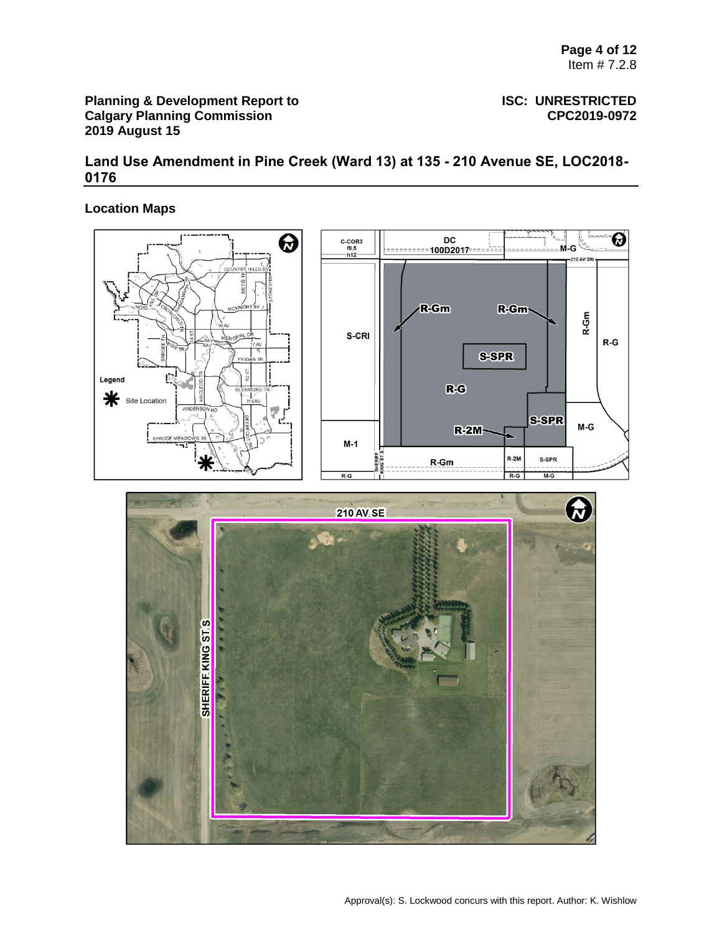# **Land Use Amendment in Pine Creek (Ward 13) at 135 - 210 Avenue SE, LOC2018- 0176**

## **Location Maps**

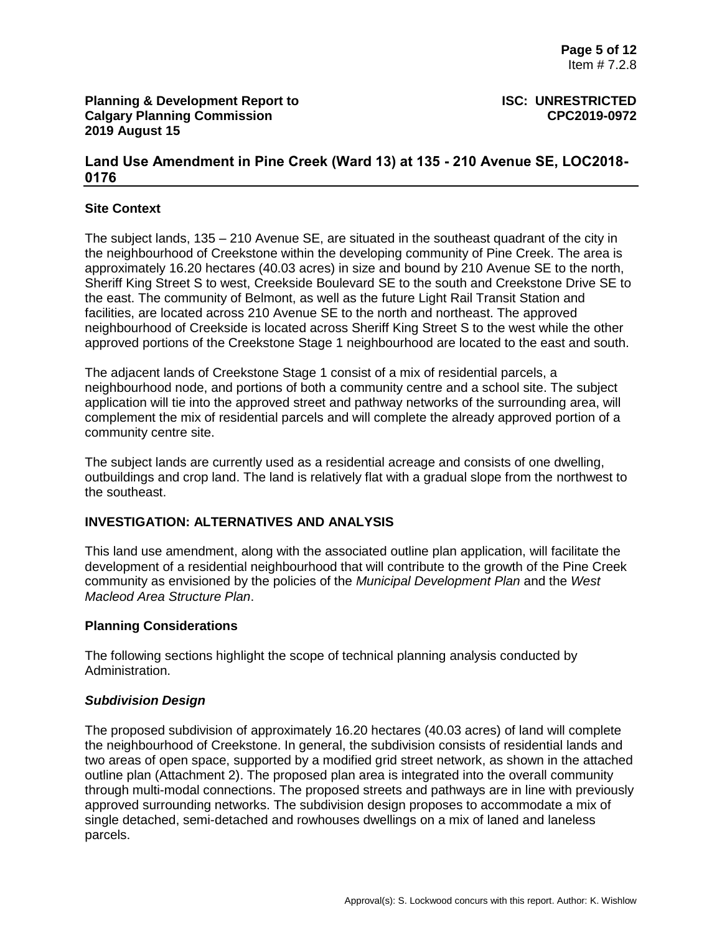## **Land Use Amendment in Pine Creek (Ward 13) at 135 - 210 Avenue SE, LOC2018- 0176**

### **Site Context**

The subject lands, 135 – 210 Avenue SE, are situated in the southeast quadrant of the city in the neighbourhood of Creekstone within the developing community of Pine Creek. The area is approximately 16.20 hectares (40.03 acres) in size and bound by 210 Avenue SE to the north, Sheriff King Street S to west, Creekside Boulevard SE to the south and Creekstone Drive SE to the east. The community of Belmont, as well as the future Light Rail Transit Station and facilities, are located across 210 Avenue SE to the north and northeast. The approved neighbourhood of Creekside is located across Sheriff King Street S to the west while the other approved portions of the Creekstone Stage 1 neighbourhood are located to the east and south.

The adjacent lands of Creekstone Stage 1 consist of a mix of residential parcels, a neighbourhood node, and portions of both a community centre and a school site. The subject application will tie into the approved street and pathway networks of the surrounding area, will complement the mix of residential parcels and will complete the already approved portion of a community centre site.

The subject lands are currently used as a residential acreage and consists of one dwelling, outbuildings and crop land. The land is relatively flat with a gradual slope from the northwest to the southeast.

## **INVESTIGATION: ALTERNATIVES AND ANALYSIS**

This land use amendment, along with the associated outline plan application, will facilitate the development of a residential neighbourhood that will contribute to the growth of the Pine Creek community as envisioned by the policies of the *Municipal Development Plan* and the *West Macleod Area Structure Plan*.

#### **Planning Considerations**

The following sections highlight the scope of technical planning analysis conducted by Administration.

#### *Subdivision Design*

The proposed subdivision of approximately 16.20 hectares (40.03 acres) of land will complete the neighbourhood of Creekstone. In general, the subdivision consists of residential lands and two areas of open space, supported by a modified grid street network, as shown in the attached outline plan (Attachment 2). The proposed plan area is integrated into the overall community through multi-modal connections. The proposed streets and pathways are in line with previously approved surrounding networks. The subdivision design proposes to accommodate a mix of single detached, semi-detached and rowhouses dwellings on a mix of laned and laneless parcels.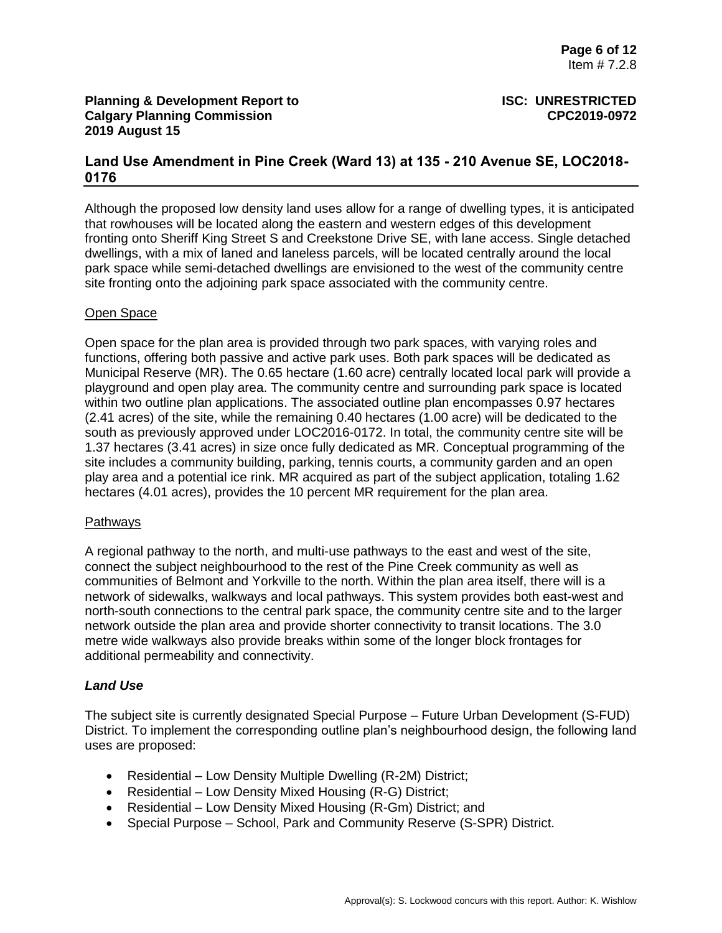## **Land Use Amendment in Pine Creek (Ward 13) at 135 - 210 Avenue SE, LOC2018- 0176**

Although the proposed low density land uses allow for a range of dwelling types, it is anticipated that rowhouses will be located along the eastern and western edges of this development fronting onto Sheriff King Street S and Creekstone Drive SE, with lane access. Single detached dwellings, with a mix of laned and laneless parcels, will be located centrally around the local park space while semi-detached dwellings are envisioned to the west of the community centre site fronting onto the adjoining park space associated with the community centre.

### Open Space

Open space for the plan area is provided through two park spaces, with varying roles and functions, offering both passive and active park uses. Both park spaces will be dedicated as Municipal Reserve (MR). The 0.65 hectare (1.60 acre) centrally located local park will provide a playground and open play area. The community centre and surrounding park space is located within two outline plan applications. The associated outline plan encompasses 0.97 hectares (2.41 acres) of the site, while the remaining 0.40 hectares (1.00 acre) will be dedicated to the south as previously approved under LOC2016-0172. In total, the community centre site will be 1.37 hectares (3.41 acres) in size once fully dedicated as MR. Conceptual programming of the site includes a community building, parking, tennis courts, a community garden and an open play area and a potential ice rink. MR acquired as part of the subject application, totaling 1.62 hectares (4.01 acres), provides the 10 percent MR requirement for the plan area.

#### Pathways

A regional pathway to the north, and multi-use pathways to the east and west of the site, connect the subject neighbourhood to the rest of the Pine Creek community as well as communities of Belmont and Yorkville to the north. Within the plan area itself, there will is a network of sidewalks, walkways and local pathways. This system provides both east-west and north-south connections to the central park space, the community centre site and to the larger network outside the plan area and provide shorter connectivity to transit locations. The 3.0 metre wide walkways also provide breaks within some of the longer block frontages for additional permeability and connectivity.

#### *Land Use*

The subject site is currently designated Special Purpose – Future Urban Development (S-FUD) District. To implement the corresponding outline plan's neighbourhood design, the following land uses are proposed:

- Residential Low Density Multiple Dwelling (R-2M) District;
- Residential Low Density Mixed Housing (R-G) District;
- Residential Low Density Mixed Housing (R-Gm) District; and
- Special Purpose School, Park and Community Reserve (S-SPR) District.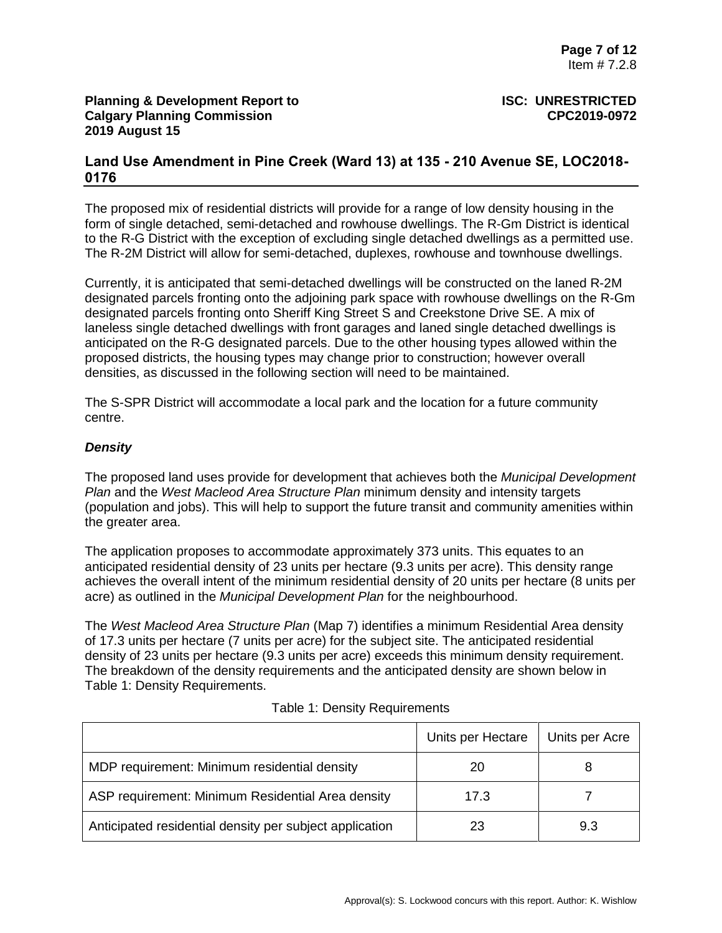## **Land Use Amendment in Pine Creek (Ward 13) at 135 - 210 Avenue SE, LOC2018- 0176**

The proposed mix of residential districts will provide for a range of low density housing in the form of single detached, semi-detached and rowhouse dwellings. The R-Gm District is identical to the R-G District with the exception of excluding single detached dwellings as a permitted use. The R-2M District will allow for semi-detached, duplexes, rowhouse and townhouse dwellings.

Currently, it is anticipated that semi-detached dwellings will be constructed on the laned R-2M designated parcels fronting onto the adjoining park space with rowhouse dwellings on the R-Gm designated parcels fronting onto Sheriff King Street S and Creekstone Drive SE. A mix of laneless single detached dwellings with front garages and laned single detached dwellings is anticipated on the R-G designated parcels. Due to the other housing types allowed within the proposed districts, the housing types may change prior to construction; however overall densities, as discussed in the following section will need to be maintained.

The S-SPR District will accommodate a local park and the location for a future community centre.

## *Density*

The proposed land uses provide for development that achieves both the *Municipal Development Plan* and the *West Macleod Area Structure Plan* minimum density and intensity targets (population and jobs). This will help to support the future transit and community amenities within the greater area.

The application proposes to accommodate approximately 373 units. This equates to an anticipated residential density of 23 units per hectare (9.3 units per acre). This density range achieves the overall intent of the minimum residential density of 20 units per hectare (8 units per acre) as outlined in the *Municipal Development Plan* for the neighbourhood.

The *West Macleod Area Structure Plan* (Map 7) identifies a minimum Residential Area density of 17.3 units per hectare (7 units per acre) for the subject site. The anticipated residential density of 23 units per hectare (9.3 units per acre) exceeds this minimum density requirement. The breakdown of the density requirements and the anticipated density are shown below in Table 1: Density Requirements.

|                                                         | Units per Hectare | Units per Acre |
|---------------------------------------------------------|-------------------|----------------|
| MDP requirement: Minimum residential density            | 20                |                |
| ASP requirement: Minimum Residential Area density       | 17.3              |                |
| Anticipated residential density per subject application | 23                | 9.3            |

|  |  | Table 1: Density Requirements |
|--|--|-------------------------------|
|--|--|-------------------------------|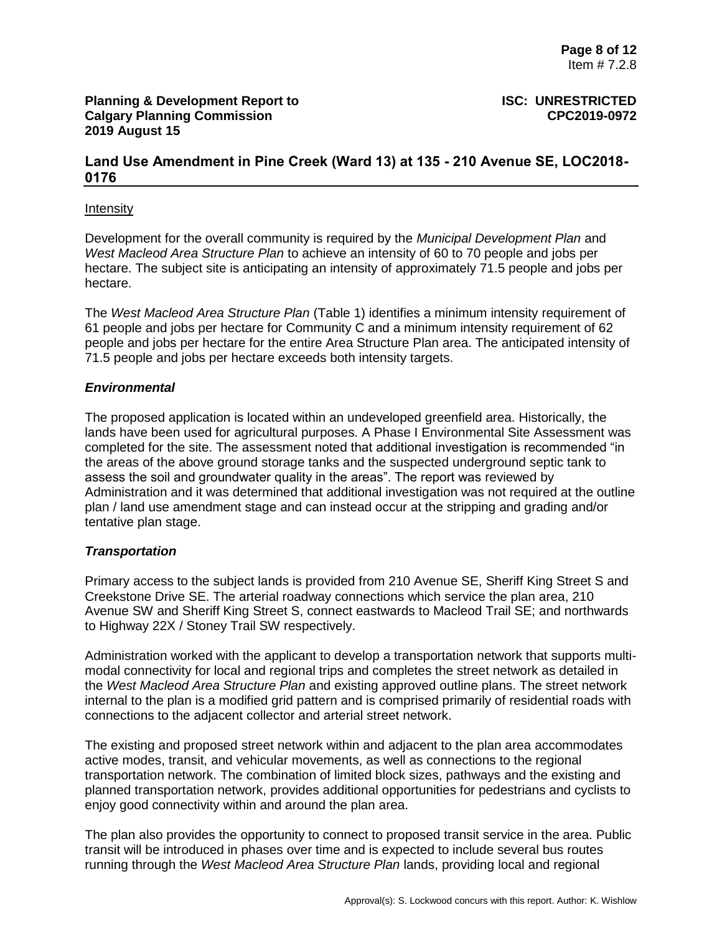## **Land Use Amendment in Pine Creek (Ward 13) at 135 - 210 Avenue SE, LOC2018- 0176**

#### **Intensity**

Development for the overall community is required by the *Municipal Development Plan* and *West Macleod Area Structure Plan* to achieve an intensity of 60 to 70 people and jobs per hectare. The subject site is anticipating an intensity of approximately 71.5 people and jobs per hectare.

The *West Macleod Area Structure Plan* (Table 1) identifies a minimum intensity requirement of 61 people and jobs per hectare for Community C and a minimum intensity requirement of 62 people and jobs per hectare for the entire Area Structure Plan area. The anticipated intensity of 71.5 people and jobs per hectare exceeds both intensity targets.

### *Environmental*

The proposed application is located within an undeveloped greenfield area. Historically, the lands have been used for agricultural purposes. A Phase I Environmental Site Assessment was completed for the site. The assessment noted that additional investigation is recommended "in the areas of the above ground storage tanks and the suspected underground septic tank to assess the soil and groundwater quality in the areas". The report was reviewed by Administration and it was determined that additional investigation was not required at the outline plan / land use amendment stage and can instead occur at the stripping and grading and/or tentative plan stage.

## *Transportation*

Primary access to the subject lands is provided from 210 Avenue SE, Sheriff King Street S and Creekstone Drive SE. The arterial roadway connections which service the plan area, 210 Avenue SW and Sheriff King Street S, connect eastwards to Macleod Trail SE; and northwards to Highway 22X / Stoney Trail SW respectively.

Administration worked with the applicant to develop a transportation network that supports multimodal connectivity for local and regional trips and completes the street network as detailed in the *West Macleod Area Structure Plan* and existing approved outline plans. The street network internal to the plan is a modified grid pattern and is comprised primarily of residential roads with connections to the adjacent collector and arterial street network.

The existing and proposed street network within and adjacent to the plan area accommodates active modes, transit, and vehicular movements, as well as connections to the regional transportation network. The combination of limited block sizes, pathways and the existing and planned transportation network, provides additional opportunities for pedestrians and cyclists to enjoy good connectivity within and around the plan area.

The plan also provides the opportunity to connect to proposed transit service in the area. Public transit will be introduced in phases over time and is expected to include several bus routes running through the *West Macleod Area Structure Plan* lands, providing local and regional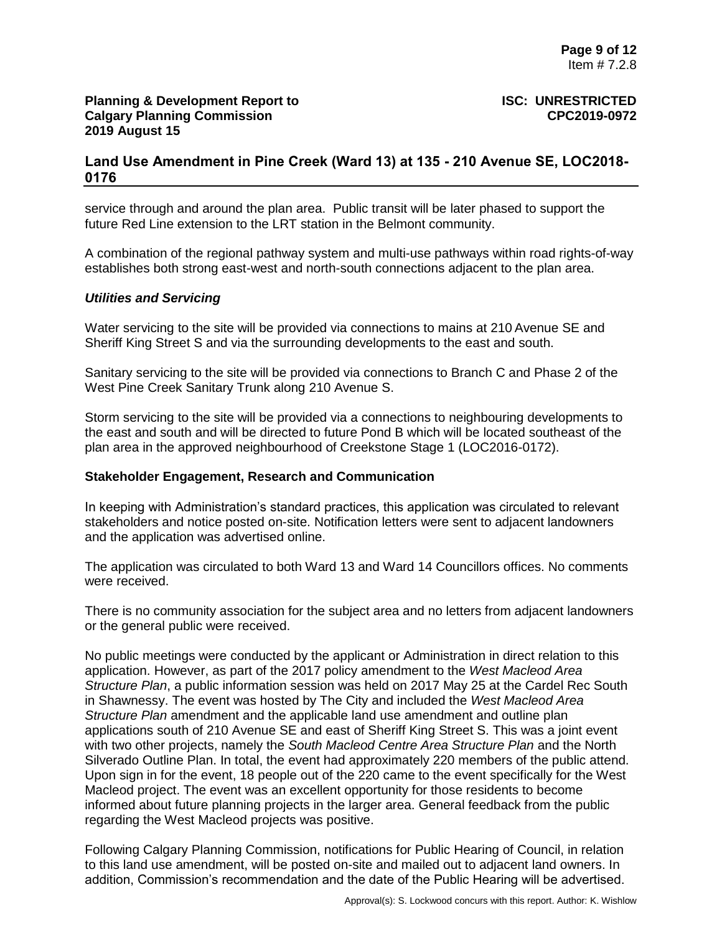## **Land Use Amendment in Pine Creek (Ward 13) at 135 - 210 Avenue SE, LOC2018- 0176**

service through and around the plan area. Public transit will be later phased to support the future Red Line extension to the LRT station in the Belmont community.

A combination of the regional pathway system and multi-use pathways within road rights-of-way establishes both strong east-west and north-south connections adjacent to the plan area.

#### *Utilities and Servicing*

Water servicing to the site will be provided via connections to mains at 210 Avenue SE and Sheriff King Street S and via the surrounding developments to the east and south.

Sanitary servicing to the site will be provided via connections to Branch C and Phase 2 of the West Pine Creek Sanitary Trunk along 210 Avenue S.

Storm servicing to the site will be provided via a connections to neighbouring developments to the east and south and will be directed to future Pond B which will be located southeast of the plan area in the approved neighbourhood of Creekstone Stage 1 (LOC2016-0172).

#### **Stakeholder Engagement, Research and Communication**

In keeping with Administration's standard practices, this application was circulated to relevant stakeholders and notice posted on-site. Notification letters were sent to adjacent landowners and the application was advertised online.

The application was circulated to both Ward 13 and Ward 14 Councillors offices. No comments were received.

There is no community association for the subject area and no letters from adjacent landowners or the general public were received.

No public meetings were conducted by the applicant or Administration in direct relation to this application. However, as part of the 2017 policy amendment to the *West Macleod Area Structure Plan*, a public information session was held on 2017 May 25 at the Cardel Rec South in Shawnessy. The event was hosted by The City and included the *West Macleod Area Structure Plan* amendment and the applicable land use amendment and outline plan applications south of 210 Avenue SE and east of Sheriff King Street S. This was a joint event with two other projects, namely the *South Macleod Centre Area Structure Plan* and the North Silverado Outline Plan. In total, the event had approximately 220 members of the public attend. Upon sign in for the event, 18 people out of the 220 came to the event specifically for the West Macleod project. The event was an excellent opportunity for those residents to become informed about future planning projects in the larger area. General feedback from the public regarding the West Macleod projects was positive.

Following Calgary Planning Commission, notifications for Public Hearing of Council, in relation to this land use amendment, will be posted on-site and mailed out to adjacent land owners. In addition, Commission's recommendation and the date of the Public Hearing will be advertised.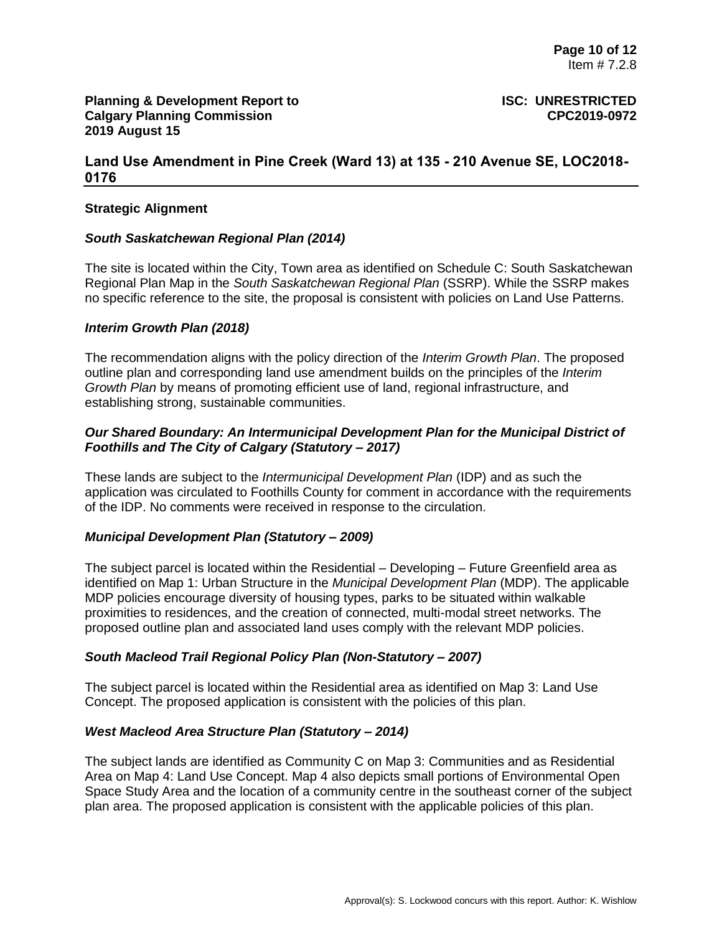## **Land Use Amendment in Pine Creek (Ward 13) at 135 - 210 Avenue SE, LOC2018- 0176**

#### **Strategic Alignment**

#### *South Saskatchewan Regional Plan (2014)*

The site is located within the City, Town area as identified on Schedule C: South Saskatchewan Regional Plan Map in the *South Saskatchewan Regional Plan* (SSRP). While the SSRP makes no specific reference to the site, the proposal is consistent with policies on Land Use Patterns.

### *Interim Growth Plan (2018)*

The recommendation aligns with the policy direction of the *Interim Growth Plan*. The proposed outline plan and corresponding land use amendment builds on the principles of the *Interim Growth Plan* by means of promoting efficient use of land, regional infrastructure, and establishing strong, sustainable communities.

## *Our Shared Boundary: An Intermunicipal Development Plan for the Municipal District of Foothills and The City of Calgary (Statutory – 2017)*

These lands are subject to the *Intermunicipal Development Plan* (IDP) and as such the application was circulated to Foothills County for comment in accordance with the requirements of the IDP. No comments were received in response to the circulation.

#### *Municipal Development Plan (Statutory – 2009)*

The subject parcel is located within the Residential – Developing – Future Greenfield area as identified on Map 1: Urban Structure in the *Municipal Development Plan* (MDP). The applicable MDP policies encourage diversity of housing types, parks to be situated within walkable proximities to residences, and the creation of connected, multi-modal street networks. The proposed outline plan and associated land uses comply with the relevant MDP policies.

## *South Macleod Trail Regional Policy Plan (Non-Statutory – 2007)*

The subject parcel is located within the Residential area as identified on Map 3: Land Use Concept. The proposed application is consistent with the policies of this plan.

#### *West Macleod Area Structure Plan (Statutory – 2014)*

The subject lands are identified as Community C on Map 3: Communities and as Residential Area on Map 4: Land Use Concept. Map 4 also depicts small portions of Environmental Open Space Study Area and the location of a community centre in the southeast corner of the subject plan area. The proposed application is consistent with the applicable policies of this plan.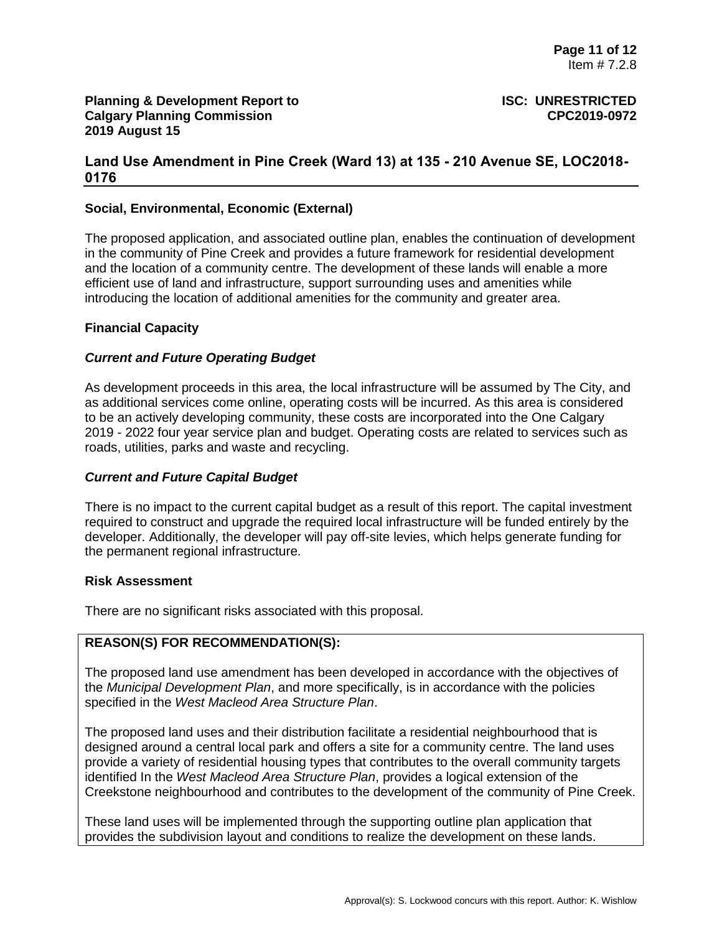## **Land Use Amendment in Pine Creek (Ward 13) at 135 - 210 Avenue SE, LOC2018- 0176**

## **Social, Environmental, Economic (External)**

The proposed application, and associated outline plan, enables the continuation of development in the community of Pine Creek and provides a future framework for residential development and the location of a community centre. The development of these lands will enable a more efficient use of land and infrastructure, support surrounding uses and amenities while introducing the location of additional amenities for the community and greater area.

#### **Financial Capacity**

### *Current and Future Operating Budget*

As development proceeds in this area, the local infrastructure will be assumed by The City, and as additional services come online, operating costs will be incurred. As this area is considered to be an actively developing community, these costs are incorporated into the One Calgary 2019 - 2022 four year service plan and budget. Operating costs are related to services such as roads, utilities, parks and waste and recycling.

#### *Current and Future Capital Budget*

There is no impact to the current capital budget as a result of this report. The capital investment required to construct and upgrade the required local infrastructure will be funded entirely by the developer. Additionally, the developer will pay off-site levies, which helps generate funding for the permanent regional infrastructure.

#### **Risk Assessment**

There are no significant risks associated with this proposal.

# **REASON(S) FOR RECOMMENDATION(S):**

The proposed land use amendment has been developed in accordance with the objectives of the *Municipal Development Plan*, and more specifically, is in accordance with the policies specified in the *West Macleod Area Structure Plan*.

The proposed land uses and their distribution facilitate a residential neighbourhood that is designed around a central local park and offers a site for a community centre. The land uses provide a variety of residential housing types that contributes to the overall community targets identified In the *West Macleod Area Structure Plan*, provides a logical extension of the Creekstone neighbourhood and contributes to the development of the community of Pine Creek.

These land uses will be implemented through the supporting outline plan application that provides the subdivision layout and conditions to realize the development on these lands.